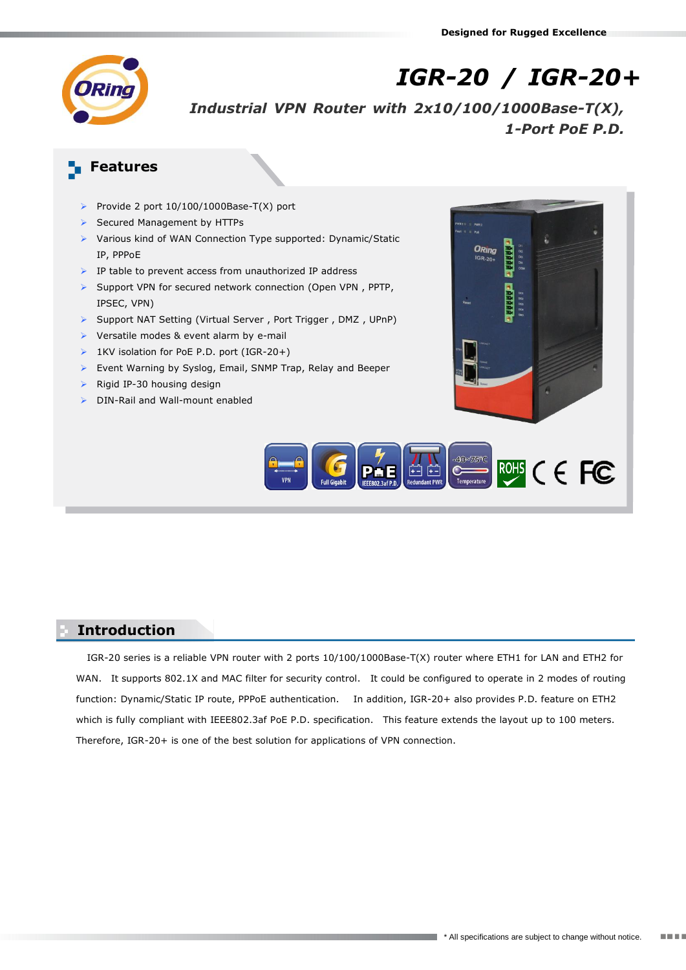

*IGR-20 / IGR-20+*

*Industrial VPN Router with 2x10/100/1000Base-T(X), 1-Port PoE P.D.*

# **Features**

- Provide 2 port 10/100/1000Base-T(X) port
- Secured Management by HTTPs
- Various kind of WAN Connection Type supported: Dynamic/Static IP, PPPoE
- $\triangleright$  IP table to prevent access from unauthorized IP address
- $\triangleright$  Support VPN for secured network connection (Open VPN, PPTP, IPSEC, VPN)
- Support NAT Setting (Virtual Server , Port Trigger , DMZ , UPnP)
- ▶ Versatile modes & event alarm by e-mail
- ▶ 1KV isolation for PoE P.D. port (IGR-20+)
- Event Warning by Syslog, Email, SNMP Trap, Relay and Beeper
- $\triangleright$  Rigid IP-30 housing design
- DIN-Rail and Wall-mount enabled





## **Introduction**

IGR-20 series is a reliable VPN router with 2 ports 10/100/1000Base-T(X) router where ETH1 for LAN and ETH2 for WAN. It supports 802.1X and MAC filter for security control. It could be configured to operate in 2 modes of routing function: Dynamic/Static IP route, PPPoE authentication. In addition, IGR-20+ also provides P.D. feature on ETH2 which is fully compliant with IEEE802.3af PoE P.D. specification. This feature extends the layout up to 100 meters. Therefore, IGR-20+ is one of the best solution for applications of VPN connection.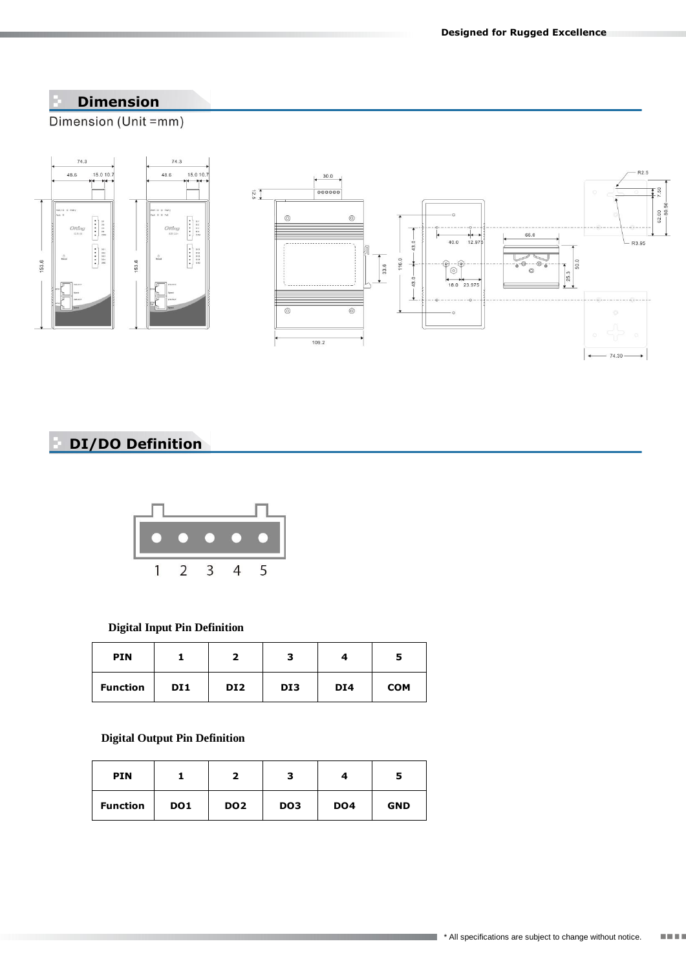## **Dimension**

Dimension (Unit =mm)



# **DI/DO Definition**



#### **Digital Input Pin Definition**

| <b>PIN</b>      |     |                 | з   |                 |            |
|-----------------|-----|-----------------|-----|-----------------|------------|
| <b>Function</b> | DI1 | DI <sub>2</sub> | DI3 | DI <sub>4</sub> | <b>COM</b> |

### **Digital Output Pin Definition**

| <b>PIN</b>      |                 |                 |                 |                 |            |
|-----------------|-----------------|-----------------|-----------------|-----------------|------------|
| <b>Function</b> | DO <sub>1</sub> | DO <sub>2</sub> | DO <sub>3</sub> | DO <sub>4</sub> | <b>GND</b> |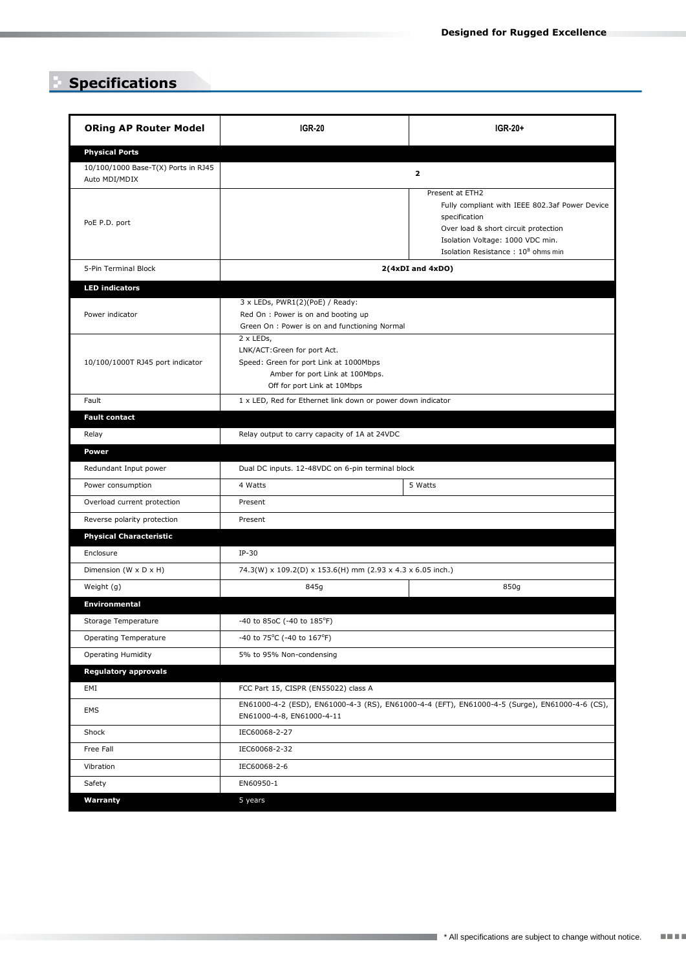# **Specifications**

| <b>ORing AP Router Model</b>                         | <b>IGR-20</b>                                                                                                                                        | IGR-20+                                                                                                                                                                                                          |  |  |  |
|------------------------------------------------------|------------------------------------------------------------------------------------------------------------------------------------------------------|------------------------------------------------------------------------------------------------------------------------------------------------------------------------------------------------------------------|--|--|--|
| <b>Physical Ports</b>                                |                                                                                                                                                      |                                                                                                                                                                                                                  |  |  |  |
| 10/100/1000 Base-T(X) Ports in RJ45<br>Auto MDI/MDIX | $\overline{2}$                                                                                                                                       |                                                                                                                                                                                                                  |  |  |  |
| PoE P.D. port                                        |                                                                                                                                                      | Present at ETH2<br>Fully compliant with IEEE 802.3af Power Device<br>specification<br>Over load & short circuit protection<br>Isolation Voltage: 1000 VDC min.<br>Isolation Resistance: 10 <sup>8</sup> ohms min |  |  |  |
| 5-Pin Terminal Block                                 | $2(4xDI$ and $4xDO)$                                                                                                                                 |                                                                                                                                                                                                                  |  |  |  |
| <b>LED indicators</b>                                |                                                                                                                                                      |                                                                                                                                                                                                                  |  |  |  |
| Power indicator                                      | 3 x LEDs, PWR1(2)(PoE) / Ready:<br>Red On : Power is on and booting up<br>Green On : Power is on and functioning Normal                              |                                                                                                                                                                                                                  |  |  |  |
| 10/100/1000T RJ45 port indicator                     | 2 x LEDs,<br>LNK/ACT:Green for port Act.<br>Speed: Green for port Link at 1000Mbps<br>Amber for port Link at 100Mbps.<br>Off for port Link at 10Mbps |                                                                                                                                                                                                                  |  |  |  |
| Fault                                                | 1 x LED, Red for Ethernet link down or power down indicator                                                                                          |                                                                                                                                                                                                                  |  |  |  |
| <b>Fault contact</b>                                 |                                                                                                                                                      |                                                                                                                                                                                                                  |  |  |  |
| Relay                                                | Relay output to carry capacity of 1A at 24VDC                                                                                                        |                                                                                                                                                                                                                  |  |  |  |
| Power                                                |                                                                                                                                                      |                                                                                                                                                                                                                  |  |  |  |
| Redundant Input power                                | Dual DC inputs. 12-48VDC on 6-pin terminal block                                                                                                     |                                                                                                                                                                                                                  |  |  |  |
| Power consumption                                    | 4 Watts                                                                                                                                              | 5 Watts                                                                                                                                                                                                          |  |  |  |
| Overload current protection                          | Present                                                                                                                                              |                                                                                                                                                                                                                  |  |  |  |
| Reverse polarity protection                          | Present                                                                                                                                              |                                                                                                                                                                                                                  |  |  |  |
| <b>Physical Characteristic</b>                       |                                                                                                                                                      |                                                                                                                                                                                                                  |  |  |  |
| Enclosure                                            | $IP-30$                                                                                                                                              |                                                                                                                                                                                                                  |  |  |  |
| Dimension (W x D x H)                                | 74.3(W) x 109.2(D) x 153.6(H) mm (2.93 x 4.3 x 6.05 inch.)                                                                                           |                                                                                                                                                                                                                  |  |  |  |
| Weight (g)                                           | 845g                                                                                                                                                 | 850g                                                                                                                                                                                                             |  |  |  |
| Environmental                                        |                                                                                                                                                      |                                                                                                                                                                                                                  |  |  |  |
| Storage Temperature                                  | -40 to 85oC (-40 to 185°F)                                                                                                                           |                                                                                                                                                                                                                  |  |  |  |
| Operating Temperature                                | -40 to 75°C (-40 to 167°F)                                                                                                                           |                                                                                                                                                                                                                  |  |  |  |
| <b>Operating Humidity</b>                            | 5% to 95% Non-condensing                                                                                                                             |                                                                                                                                                                                                                  |  |  |  |
| <b>Regulatory approvals</b>                          |                                                                                                                                                      |                                                                                                                                                                                                                  |  |  |  |
| EMI                                                  | FCC Part 15, CISPR (EN55022) class A                                                                                                                 |                                                                                                                                                                                                                  |  |  |  |
| EMS                                                  | EN61000-4-2 (ESD), EN61000-4-3 (RS), EN61000-4-4 (EFT), EN61000-4-5 (Surge), EN61000-4-6 (CS),<br>EN61000-4-8, EN61000-4-11                          |                                                                                                                                                                                                                  |  |  |  |
| Shock                                                | IEC60068-2-27                                                                                                                                        |                                                                                                                                                                                                                  |  |  |  |
| Free Fall                                            | IEC60068-2-32                                                                                                                                        |                                                                                                                                                                                                                  |  |  |  |
| Vibration                                            | IEC60068-2-6                                                                                                                                         |                                                                                                                                                                                                                  |  |  |  |
| Safety                                               | EN60950-1                                                                                                                                            |                                                                                                                                                                                                                  |  |  |  |
| Warranty                                             | 5 years                                                                                                                                              |                                                                                                                                                                                                                  |  |  |  |